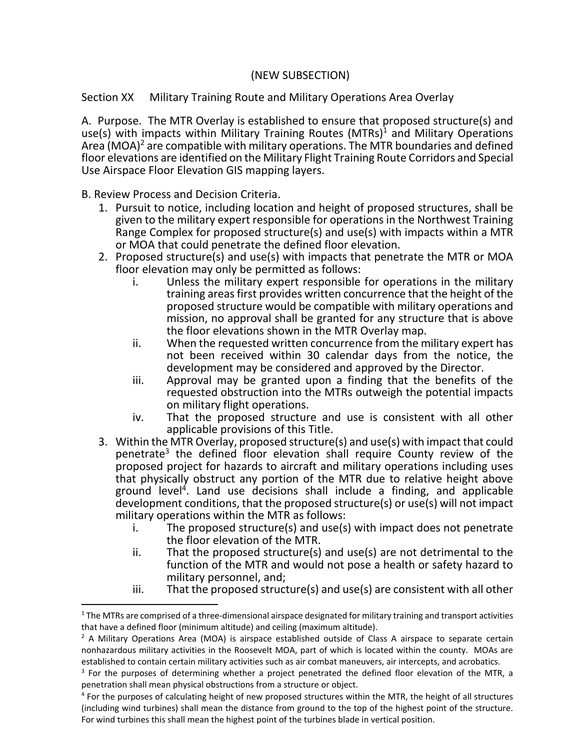## (NEW SUBSECTION)

Section XX Military Training Route and Military Operations Area Overlay

A. Purpose. The MTR Overlay is established to ensure that proposed structure(s) and use(s) with impacts within Military Training Routes  $(MTRs)^1$  and Military Operations Area (MOA)<sup>2</sup> are compatible with military operations. The MTR boundaries and defined floor elevations are identified on the Military Flight Training Route Corridors and Special Use Airspace Floor Elevation GIS mapping layers.

B. Review Process and Decision Criteria.

- 1. Pursuit to notice, including location and height of proposed structures, shall be given to the military expert responsible for operations in the Northwest Training Range Complex for proposed structure(s) and use(s) with impacts within a MTR or MOA that could penetrate the defined floor elevation.
- 2. Proposed structure(s) and use(s) with impacts that penetrate the MTR or MOA floor elevation may only be permitted as follows:
	- Unless the military expert responsible for operations in the military training areas first provides written concurrence that the height of the proposed structure would be compatible with military operations and mission, no approval shall be granted for any structure that is above the floor elevations shown in the MTR Overlay map.
	- ii. When the requested written concurrence from the military expert has not been received within 30 calendar days from the notice, the development may be considered and approved by the Director.
	- iii. Approval may be granted upon a finding that the benefits of the requested obstruction into the MTRs outweigh the potential impacts on military flight operations.
	- iv. That the proposed structure and use is consistent with all other applicable provisions of this Title.
- 3. Within the MTR Overlay, proposed structure(s) and use(s) with impact that could penetrate<sup>3</sup> the defined floor elevation shall require County review of the proposed project for hazards to aircraft and military operations including uses that physically obstruct any portion of the MTR due to relative height above ground level<sup>4</sup>. Land use decisions shall include a finding, and applicable development conditions, that the proposed structure(s) or use(s) will not impact military operations within the MTR as follows:
	- i. The proposed structure(s) and use(s) with impact does not penetrate the floor elevation of the MTR.
	- ii. That the proposed structure(s) and use(s) are not detrimental to the function of the MTR and would not pose a health or safety hazard to military personnel, and;
	- iii. That the proposed structure(s) and use(s) are consistent with all other

 $1$  The MTRs are comprised of a three-dimensional airspace designated for military training and transport activities that have a defined floor (minimum altitude) and ceiling (maximum altitude).

 $<sup>2</sup>$  A Military Operations Area (MOA) is airspace established outside of Class A airspace to separate certain</sup> nonhazardous military activities in the Roosevelt MOA, part of which is located within the county. MOAs are established to contain certain military activities such as air combat maneuvers, air intercepts, and acrobatics.

<sup>&</sup>lt;sup>3</sup> For the purposes of determining whether a project penetrated the defined floor elevation of the MTR, a penetration shall mean physical obstructions from a structure or object.

<sup>&</sup>lt;sup>4</sup> For the purposes of calculating height of new proposed structures within the MTR, the height of all structures (including wind turbines) shall mean the distance from ground to the top of the highest point of the structure. For wind turbines this shall mean the highest point of the turbines blade in vertical position.